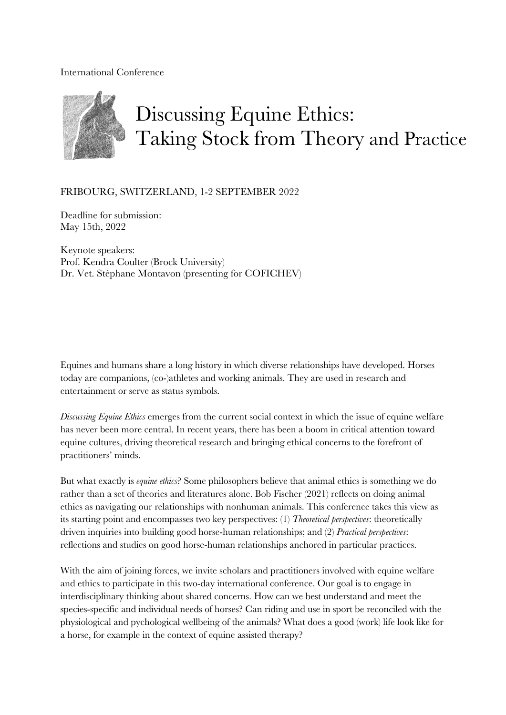## International Conference



## FRIBOURG, SWITZERLAND, 1-2 SEPTEMBER 2022

Deadline for submission: May 15th, 2022

Keynote speakers: Prof. Kendra Coulter (Brock University) Dr. Vet. Stéphane Montavon (presenting for COFICHEV)

Equines and humans share a long history in which diverse relationships have developed. Horses today are companions, (co-)athletes and working animals. They are used in research and entertainment or serve as status symbols.

*Discussing Equine Ethics* emerges from the current social context in which the issue of equine welfare has never been more central. In recent years, there has been a boom in critical attention toward equine cultures, driving theoretical research and bringing ethical concerns to the forefront of practitioners' minds.

But what exactly is *equine ethics*? Some philosophers believe that animal ethics is something we do rather than a set of theories and literatures alone. Bob Fischer (2021) reflects on doing animal ethics as navigating our relationships with nonhuman animals. This conference takes this view as its starting point and encompasses two key perspectives: (1) *Theoretical perspectives*: theoretically driven inquiries into building good horse-human relationships; and (2) *Practical perspectives*: reflections and studies on good horse-human relationships anchored in particular practices.

With the aim of joining forces, we invite scholars and practitioners involved with equine welfare and ethics to participate in this two-day international conference. Our goal is to engage in interdisciplinary thinking about shared concerns. How can we best understand and meet the species-specific and individual needs of horses? Can riding and use in sport be reconciled with the physiological and pychological wellbeing of the animals? What does a good (work) life look like for a horse, for example in the context of equine assisted therapy?